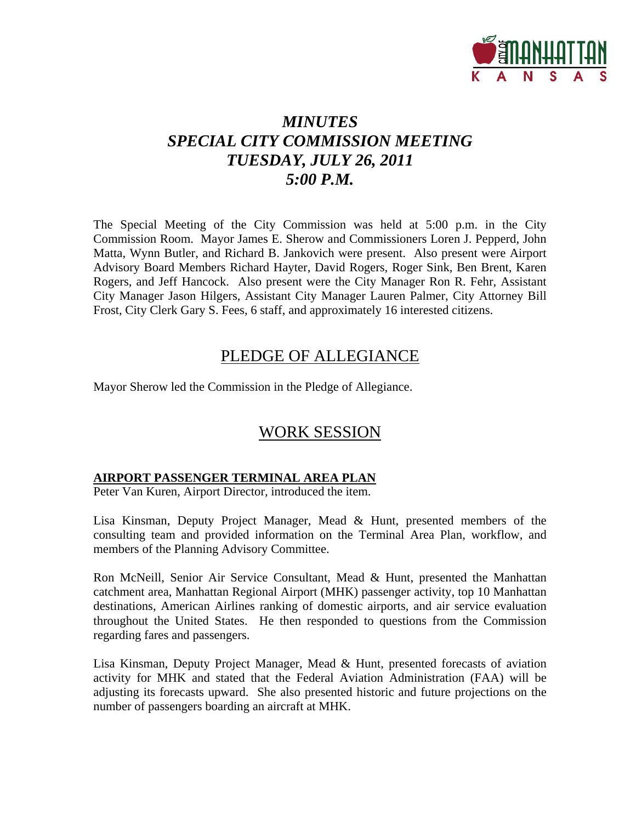

# *MINUTES SPECIAL CITY COMMISSION MEETING TUESDAY, JULY 26, 2011 5:00 P.M.*

The Special Meeting of the City Commission was held at 5:00 p.m. in the City Commission Room. Mayor James E. Sherow and Commissioners Loren J. Pepperd, John Matta, Wynn Butler, and Richard B. Jankovich were present. Also present were Airport Advisory Board Members Richard Hayter, David Rogers, Roger Sink, Ben Brent, Karen Rogers, and Jeff Hancock. Also present were the City Manager Ron R. Fehr, Assistant City Manager Jason Hilgers, Assistant City Manager Lauren Palmer, City Attorney Bill Frost, City Clerk Gary S. Fees, 6 staff, and approximately 16 interested citizens.

## PLEDGE OF ALLEGIANCE

Mayor Sherow led the Commission in the Pledge of Allegiance.

# WORK SESSION

### **AIRPORT PASSENGER TERMINAL AREA PLAN**

Peter Van Kuren, Airport Director, introduced the item.

Lisa Kinsman, Deputy Project Manager, Mead & Hunt, presented members of the consulting team and provided information on the Terminal Area Plan, workflow, and members of the Planning Advisory Committee.

Ron McNeill, Senior Air Service Consultant, Mead & Hunt, presented the Manhattan catchment area, Manhattan Regional Airport (MHK) passenger activity, top 10 Manhattan destinations, American Airlines ranking of domestic airports, and air service evaluation throughout the United States. He then responded to questions from the Commission regarding fares and passengers.

Lisa Kinsman, Deputy Project Manager, Mead & Hunt, presented forecasts of aviation activity for MHK and stated that the Federal Aviation Administration (FAA) will be adjusting its forecasts upward. She also presented historic and future projections on the number of passengers boarding an aircraft at MHK.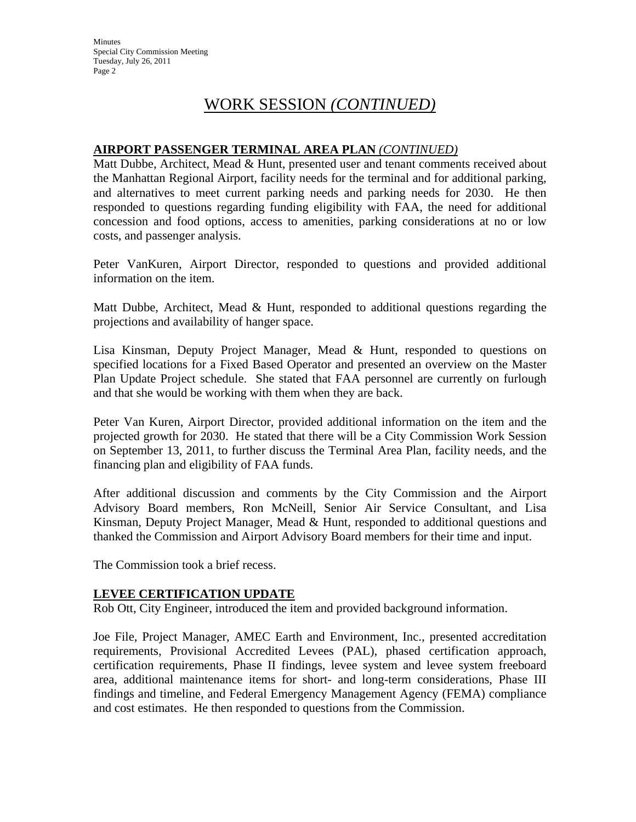Minutes Special City Commission Meeting Tuesday, July 26, 2011 Page 2

## WORK SESSION *(CONTINUED)*

### **AIRPORT PASSENGER TERMINAL AREA PLAN** *(CONTINUED)*

Matt Dubbe, Architect, Mead & Hunt, presented user and tenant comments received about the Manhattan Regional Airport, facility needs for the terminal and for additional parking, and alternatives to meet current parking needs and parking needs for 2030. He then responded to questions regarding funding eligibility with FAA, the need for additional concession and food options, access to amenities, parking considerations at no or low costs, and passenger analysis.

Peter VanKuren, Airport Director, responded to questions and provided additional information on the item.

Matt Dubbe, Architect, Mead & Hunt, responded to additional questions regarding the projections and availability of hanger space.

Lisa Kinsman, Deputy Project Manager, Mead & Hunt, responded to questions on specified locations for a Fixed Based Operator and presented an overview on the Master Plan Update Project schedule. She stated that FAA personnel are currently on furlough and that she would be working with them when they are back.

Peter Van Kuren, Airport Director, provided additional information on the item and the projected growth for 2030. He stated that there will be a City Commission Work Session on September 13, 2011, to further discuss the Terminal Area Plan, facility needs, and the financing plan and eligibility of FAA funds.

After additional discussion and comments by the City Commission and the Airport Advisory Board members, Ron McNeill, Senior Air Service Consultant, and Lisa Kinsman, Deputy Project Manager, Mead & Hunt, responded to additional questions and thanked the Commission and Airport Advisory Board members for their time and input.

The Commission took a brief recess.

#### **LEVEE CERTIFICATION UPDATE**

Rob Ott, City Engineer, introduced the item and provided background information.

Joe File, Project Manager, AMEC Earth and Environment, Inc., presented accreditation requirements, Provisional Accredited Levees (PAL), phased certification approach, certification requirements, Phase II findings, levee system and levee system freeboard area, additional maintenance items for short- and long-term considerations, Phase III findings and timeline, and Federal Emergency Management Agency (FEMA) compliance and cost estimates. He then responded to questions from the Commission.